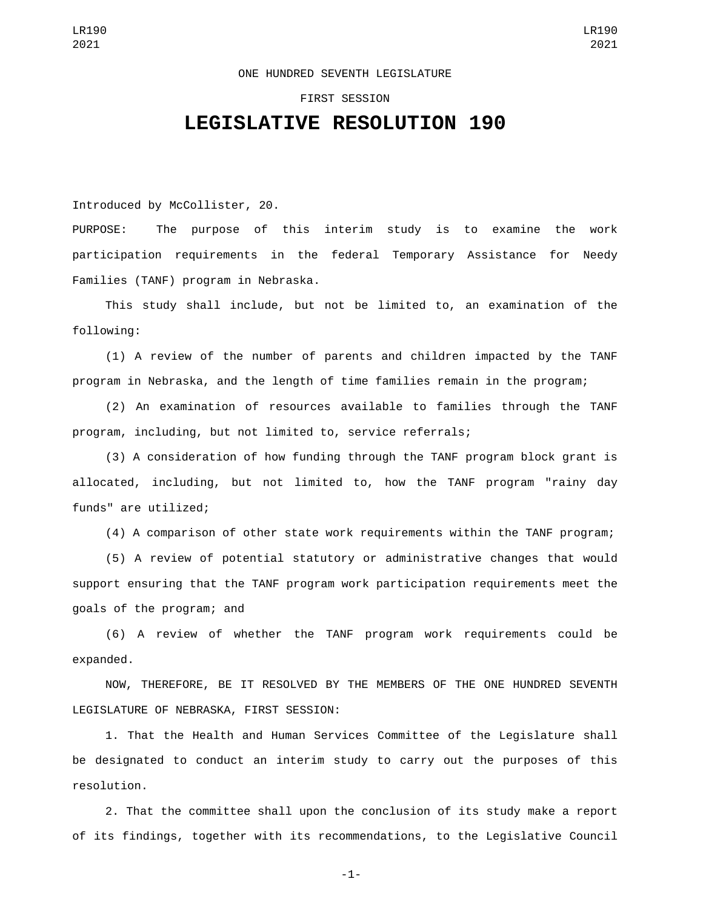## ONE HUNDRED SEVENTH LEGISLATURE

## FIRST SESSION

## **LEGISLATIVE RESOLUTION 190**

Introduced by McCollister, 20.

PURPOSE: The purpose of this interim study is to examine the work participation requirements in the federal Temporary Assistance for Needy Families (TANF) program in Nebraska.

This study shall include, but not be limited to, an examination of the following:

(1) A review of the number of parents and children impacted by the TANF program in Nebraska, and the length of time families remain in the program;

(2) An examination of resources available to families through the TANF program, including, but not limited to, service referrals;

(3) A consideration of how funding through the TANF program block grant is allocated, including, but not limited to, how the TANF program "rainy day funds" are utilized;

(4) A comparison of other state work requirements within the TANF program;

(5) A review of potential statutory or administrative changes that would support ensuring that the TANF program work participation requirements meet the goals of the program; and

(6) A review of whether the TANF program work requirements could be expanded.

NOW, THEREFORE, BE IT RESOLVED BY THE MEMBERS OF THE ONE HUNDRED SEVENTH LEGISLATURE OF NEBRASKA, FIRST SESSION:

1. That the Health and Human Services Committee of the Legislature shall be designated to conduct an interim study to carry out the purposes of this resolution.

2. That the committee shall upon the conclusion of its study make a report of its findings, together with its recommendations, to the Legislative Council

-1-